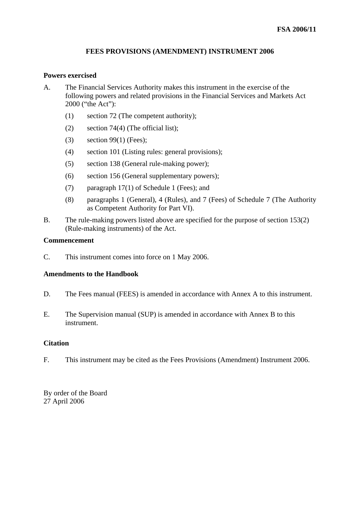### **FEES PROVISIONS (AMENDMENT) INSTRUMENT 2006**

### **Powers exercised**

- A. The Financial Services Authority makes this instrument in the exercise of the following powers and related provisions in the Financial Services and Markets Act 2000 ("the Act"):
	- (1) section 72 (The competent authority);
	- (2) section 74(4) (The official list);
	- (3) section 99(1) (Fees);
	- (4) section 101 (Listing rules: general provisions);
	- (5) section 138 (General rule-making power);
	- (6) section 156 (General supplementary powers);
	- (7) paragraph 17(1) of Schedule 1 (Fees); and
	- (8) paragraphs 1 (General), 4 (Rules), and 7 (Fees) of Schedule 7 (The Authority as Competent Authority for Part VI).
- B. The rule-making powers listed above are specified for the purpose of section 153(2) (Rule-making instruments) of the Act.

### **Commencement**

C. This instrument comes into force on 1 May 2006.

### **Amendments to the Handbook**

- D. The Fees manual (FEES) is amended in accordance with Annex A to this instrument.
- E. The Supervision manual (SUP) is amended in accordance with Annex B to this instrument.

## **Citation**

F. This instrument may be cited as the Fees Provisions (Amendment) Instrument 2006.

By order of the Board 27 April 2006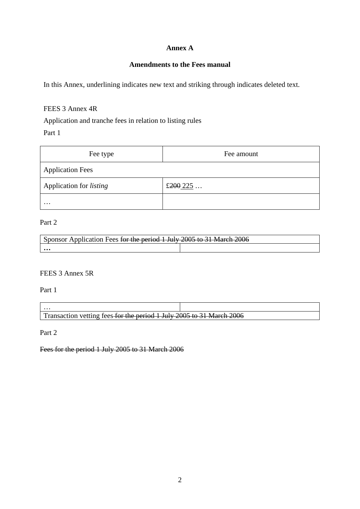## **Annex A**

# **Amendments to the Fees manual**

In this Annex, underlining indicates new text and striking through indicates deleted text.

### FEES 3 Annex 4R

Application and tranche fees in relation to listing rules

Part 1

| Fee type                       | Fee amount |
|--------------------------------|------------|
| <b>Application Fees</b>        |            |
| Application for <i>listing</i> | £ $200225$ |
| $\cdots$                       |            |

## Part 2

| Application Fees for the period 1 July 2005 to 31 March 2006 |  |  |
|--------------------------------------------------------------|--|--|
| $\cdots$                                                     |  |  |

## FEES 3 Annex 5R

Part 1

…

Transaction vetting fees for the period 1 July 2005 to 31 March 2006

Part 2

Fees for the period 1 July 2005 to 31 March 2006